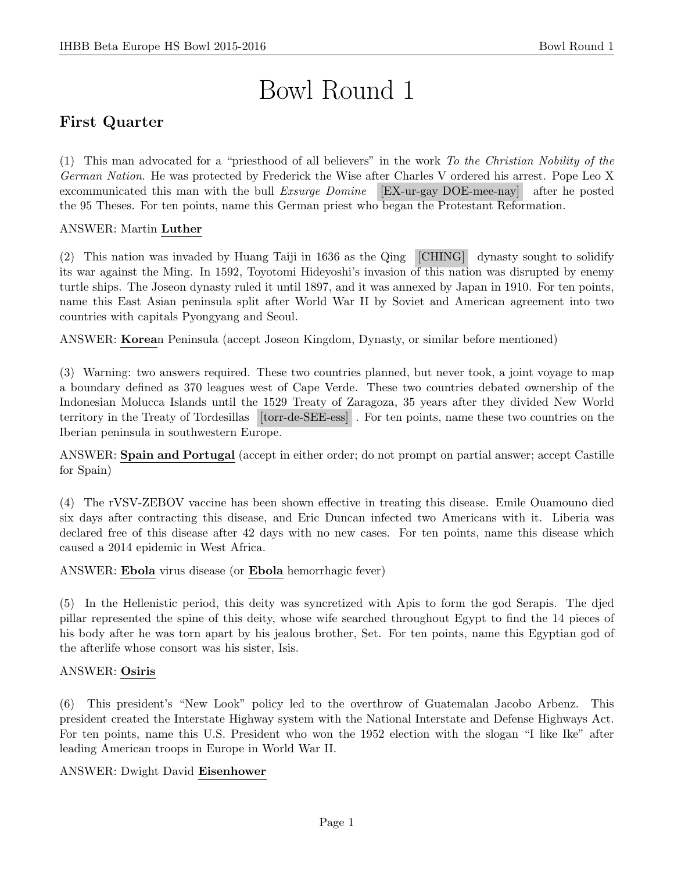# Bowl Round 1

# First Quarter

(1) This man advocated for a "priesthood of all believers" in the work To the Christian Nobility of the German Nation. He was protected by Frederick the Wise after Charles V ordered his arrest. Pope Leo X excommunicated this man with the bull Exsurge Domine [EX-ur-gay DOE-mee-nay] after he posted the 95 Theses. For ten points, name this German priest who began the Protestant Reformation.

#### ANSWER: Martin Luther

(2) This nation was invaded by Huang Taiji in 1636 as the Qing [CHING] dynasty sought to solidify its war against the Ming. In 1592, Toyotomi Hideyoshi's invasion of this nation was disrupted by enemy turtle ships. The Joseon dynasty ruled it until 1897, and it was annexed by Japan in 1910. For ten points, name this East Asian peninsula split after World War II by Soviet and American agreement into two countries with capitals Pyongyang and Seoul.

ANSWER: Korean Peninsula (accept Joseon Kingdom, Dynasty, or similar before mentioned)

(3) Warning: two answers required. These two countries planned, but never took, a joint voyage to map a boundary defined as 370 leagues west of Cape Verde. These two countries debated ownership of the Indonesian Molucca Islands until the 1529 Treaty of Zaragoza, 35 years after they divided New World territory in the Treaty of Tordesillas [torr-de-SEE-ess] . For ten points, name these two countries on the Iberian peninsula in southwestern Europe.

ANSWER: Spain and Portugal (accept in either order; do not prompt on partial answer; accept Castille for Spain)

(4) The rVSV-ZEBOV vaccine has been shown effective in treating this disease. Emile Ouamouno died six days after contracting this disease, and Eric Duncan infected two Americans with it. Liberia was declared free of this disease after 42 days with no new cases. For ten points, name this disease which caused a 2014 epidemic in West Africa.

ANSWER: Ebola virus disease (or Ebola hemorrhagic fever)

(5) In the Hellenistic period, this deity was syncretized with Apis to form the god Serapis. The djed pillar represented the spine of this deity, whose wife searched throughout Egypt to find the 14 pieces of his body after he was torn apart by his jealous brother, Set. For ten points, name this Egyptian god of the afterlife whose consort was his sister, Isis.

#### ANSWER: Osiris

(6) This president's "New Look" policy led to the overthrow of Guatemalan Jacobo Arbenz. This president created the Interstate Highway system with the National Interstate and Defense Highways Act. For ten points, name this U.S. President who won the 1952 election with the slogan "I like Ike" after leading American troops in Europe in World War II.

#### ANSWER: Dwight David Eisenhower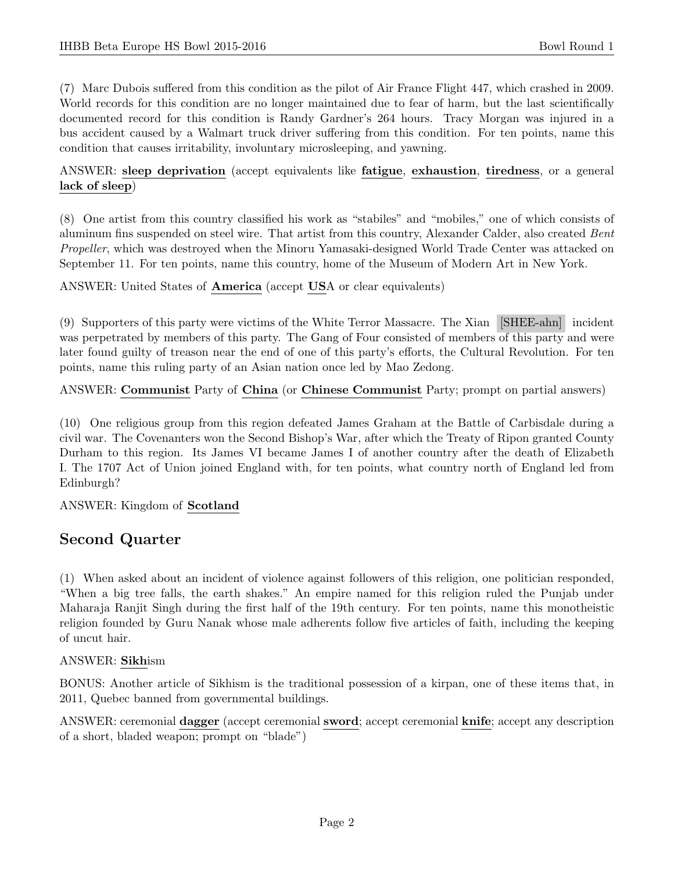(7) Marc Dubois suffered from this condition as the pilot of Air France Flight 447, which crashed in 2009. World records for this condition are no longer maintained due to fear of harm, but the last scientifically documented record for this condition is Randy Gardner's 264 hours. Tracy Morgan was injured in a bus accident caused by a Walmart truck driver suffering from this condition. For ten points, name this condition that causes irritability, involuntary microsleeping, and yawning.

# ANSWER: sleep deprivation (accept equivalents like fatigue, exhaustion, tiredness, or a general lack of sleep)

(8) One artist from this country classified his work as "stabiles" and "mobiles," one of which consists of aluminum fins suspended on steel wire. That artist from this country, Alexander Calder, also created Bent Propeller, which was destroyed when the Minoru Yamasaki-designed World Trade Center was attacked on September 11. For ten points, name this country, home of the Museum of Modern Art in New York.

ANSWER: United States of America (accept USA or clear equivalents)

(9) Supporters of this party were victims of the White Terror Massacre. The Xian [SHEE-ahn] incident was perpetrated by members of this party. The Gang of Four consisted of members of this party and were later found guilty of treason near the end of one of this party's efforts, the Cultural Revolution. For ten points, name this ruling party of an Asian nation once led by Mao Zedong.

ANSWER: Communist Party of China (or Chinese Communist Party; prompt on partial answers)

(10) One religious group from this region defeated James Graham at the Battle of Carbisdale during a civil war. The Covenanters won the Second Bishop's War, after which the Treaty of Ripon granted County Durham to this region. Its James VI became James I of another country after the death of Elizabeth I. The 1707 Act of Union joined England with, for ten points, what country north of England led from Edinburgh?

ANSWER: Kingdom of Scotland

# Second Quarter

(1) When asked about an incident of violence against followers of this religion, one politician responded, "When a big tree falls, the earth shakes." An empire named for this religion ruled the Punjab under Maharaja Ranjit Singh during the first half of the 19th century. For ten points, name this monotheistic religion founded by Guru Nanak whose male adherents follow five articles of faith, including the keeping of uncut hair.

#### ANSWER: Sikhism

BONUS: Another article of Sikhism is the traditional possession of a kirpan, one of these items that, in 2011, Quebec banned from governmental buildings.

ANSWER: ceremonial dagger (accept ceremonial sword; accept ceremonial knife; accept any description of a short, bladed weapon; prompt on "blade")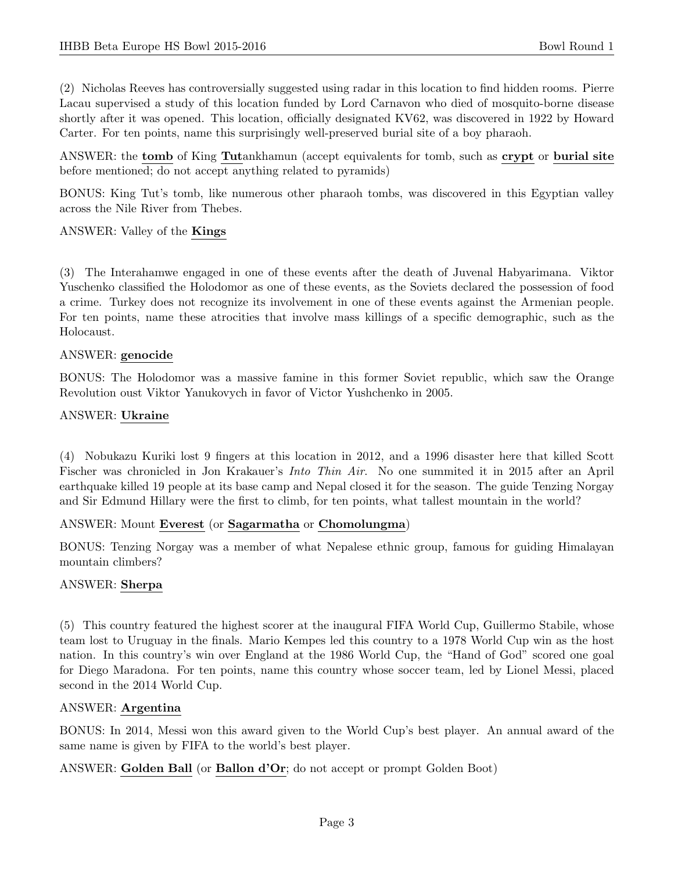(2) Nicholas Reeves has controversially suggested using radar in this location to find hidden rooms. Pierre Lacau supervised a study of this location funded by Lord Carnavon who died of mosquito-borne disease shortly after it was opened. This location, officially designated KV62, was discovered in 1922 by Howard Carter. For ten points, name this surprisingly well-preserved burial site of a boy pharaoh.

ANSWER: the tomb of King Tutankhamun (accept equivalents for tomb, such as crypt or burial site before mentioned; do not accept anything related to pyramids)

BONUS: King Tut's tomb, like numerous other pharaoh tombs, was discovered in this Egyptian valley across the Nile River from Thebes.

#### ANSWER: Valley of the Kings

(3) The Interahamwe engaged in one of these events after the death of Juvenal Habyarimana. Viktor Yuschenko classified the Holodomor as one of these events, as the Soviets declared the possession of food a crime. Turkey does not recognize its involvement in one of these events against the Armenian people. For ten points, name these atrocities that involve mass killings of a specific demographic, such as the Holocaust.

#### ANSWER: genocide

BONUS: The Holodomor was a massive famine in this former Soviet republic, which saw the Orange Revolution oust Viktor Yanukovych in favor of Victor Yushchenko in 2005.

#### ANSWER: Ukraine

(4) Nobukazu Kuriki lost 9 fingers at this location in 2012, and a 1996 disaster here that killed Scott Fischer was chronicled in Jon Krakauer's Into Thin Air. No one summited it in 2015 after an April earthquake killed 19 people at its base camp and Nepal closed it for the season. The guide Tenzing Norgay and Sir Edmund Hillary were the first to climb, for ten points, what tallest mountain in the world?

#### ANSWER: Mount Everest (or Sagarmatha or Chomolungma)

BONUS: Tenzing Norgay was a member of what Nepalese ethnic group, famous for guiding Himalayan mountain climbers?

#### ANSWER: Sherpa

(5) This country featured the highest scorer at the inaugural FIFA World Cup, Guillermo Stabile, whose team lost to Uruguay in the finals. Mario Kempes led this country to a 1978 World Cup win as the host nation. In this country's win over England at the 1986 World Cup, the "Hand of God" scored one goal for Diego Maradona. For ten points, name this country whose soccer team, led by Lionel Messi, placed second in the 2014 World Cup.

#### ANSWER: Argentina

BONUS: In 2014, Messi won this award given to the World Cup's best player. An annual award of the same name is given by FIFA to the world's best player.

ANSWER: Golden Ball (or Ballon d'Or; do not accept or prompt Golden Boot)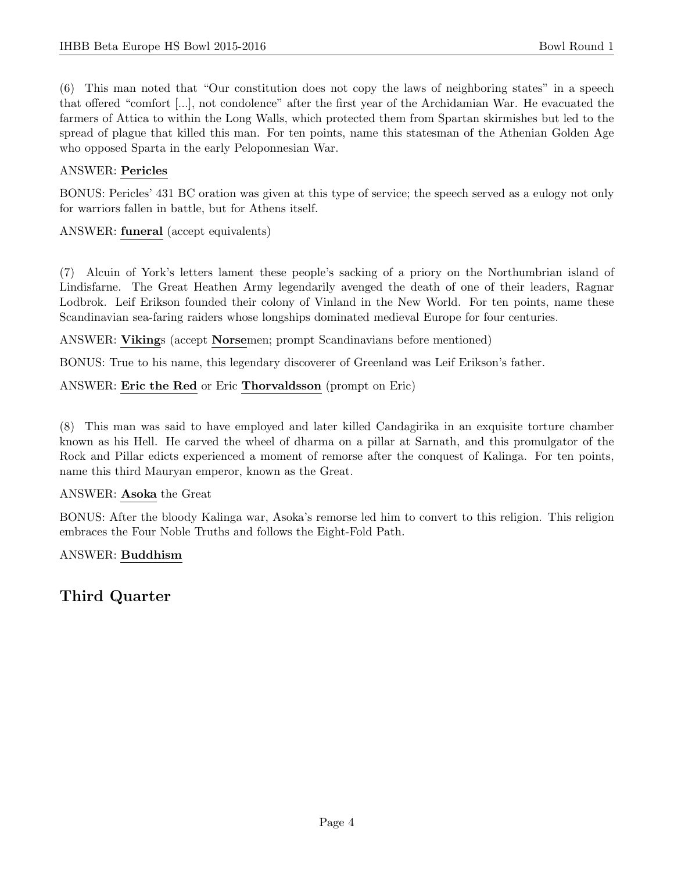(6) This man noted that "Our constitution does not copy the laws of neighboring states" in a speech that offered "comfort [...], not condolence" after the first year of the Archidamian War. He evacuated the farmers of Attica to within the Long Walls, which protected them from Spartan skirmishes but led to the spread of plague that killed this man. For ten points, name this statesman of the Athenian Golden Age who opposed Sparta in the early Peloponnesian War.

## ANSWER: Pericles

BONUS: Pericles' 431 BC oration was given at this type of service; the speech served as a eulogy not only for warriors fallen in battle, but for Athens itself.

#### ANSWER: funeral (accept equivalents)

(7) Alcuin of York's letters lament these people's sacking of a priory on the Northumbrian island of Lindisfarne. The Great Heathen Army legendarily avenged the death of one of their leaders, Ragnar Lodbrok. Leif Erikson founded their colony of Vinland in the New World. For ten points, name these Scandinavian sea-faring raiders whose longships dominated medieval Europe for four centuries.

ANSWER: Vikings (accept Norsemen; prompt Scandinavians before mentioned)

BONUS: True to his name, this legendary discoverer of Greenland was Leif Erikson's father.

#### ANSWER: Eric the Red or Eric Thorvaldsson (prompt on Eric)

(8) This man was said to have employed and later killed Candagirika in an exquisite torture chamber known as his Hell. He carved the wheel of dharma on a pillar at Sarnath, and this promulgator of the Rock and Pillar edicts experienced a moment of remorse after the conquest of Kalinga. For ten points, name this third Mauryan emperor, known as the Great.

#### ANSWER: Asoka the Great

BONUS: After the bloody Kalinga war, Asoka's remorse led him to convert to this religion. This religion embraces the Four Noble Truths and follows the Eight-Fold Path.

#### ANSWER: Buddhism

Third Quarter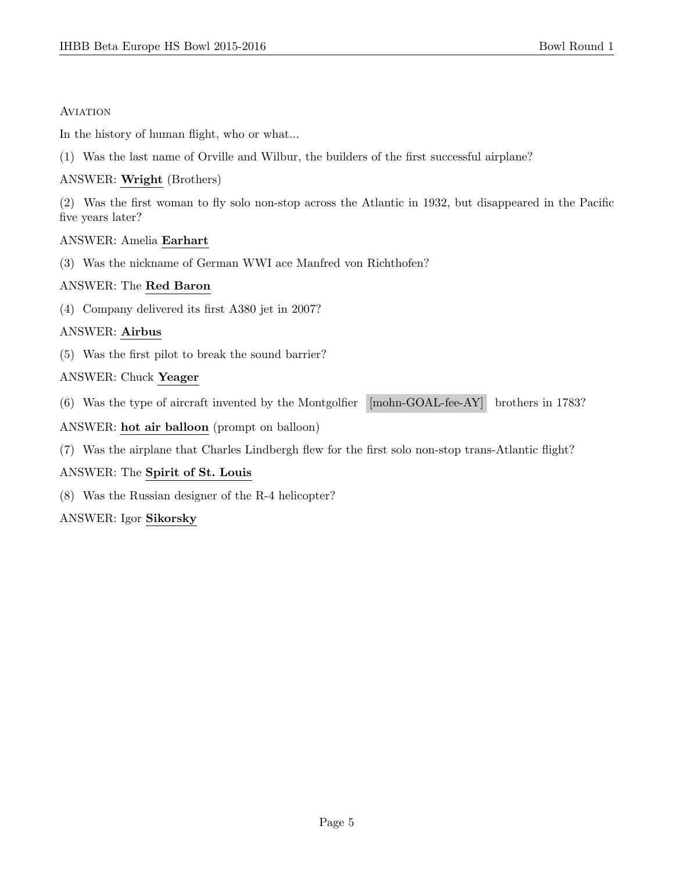#### **AVIATION**

In the history of human flight, who or what...

(1) Was the last name of Orville and Wilbur, the builders of the first successful airplane?

## ANSWER: Wright (Brothers)

(2) Was the first woman to fly solo non-stop across the Atlantic in 1932, but disappeared in the Pacific five years later?

#### ANSWER: Amelia Earhart

(3) Was the nickname of German WWI ace Manfred von Richthofen?

# ANSWER: The Red Baron

(4) Company delivered its first A380 jet in 2007?

# ANSWER: Airbus

(5) Was the first pilot to break the sound barrier?

# ANSWER: Chuck Yeager

(6) Was the type of aircraft invented by the Montgolfier [mohn-GOAL-fee-AY] brothers in 1783?

# ANSWER: hot air balloon (prompt on balloon)

(7) Was the airplane that Charles Lindbergh flew for the first solo non-stop trans-Atlantic flight?

# ANSWER: The Spirit of St. Louis

(8) Was the Russian designer of the R-4 helicopter?

#### ANSWER: Igor Sikorsky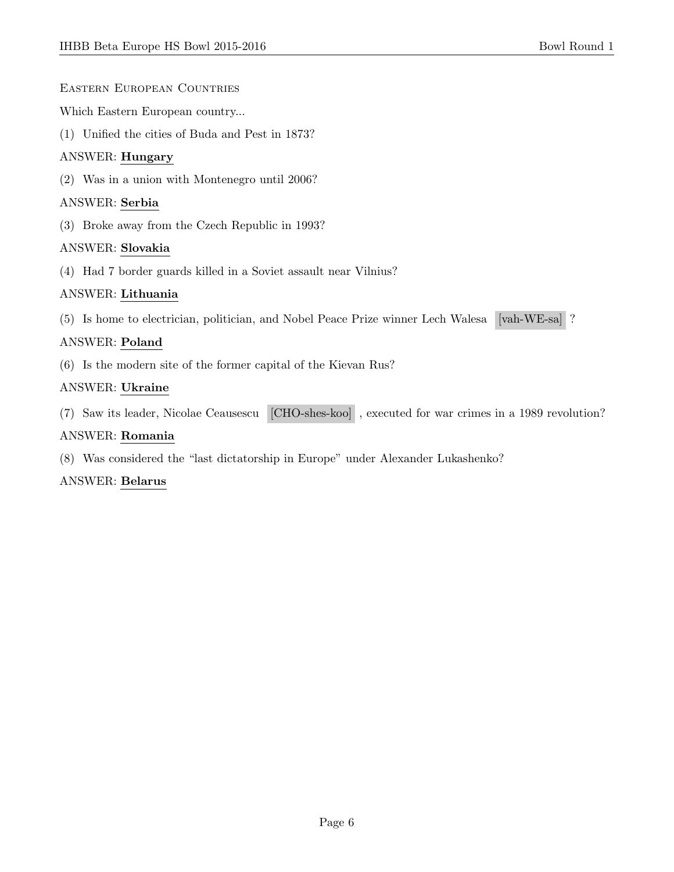Eastern European Countries

Which Eastern European country...

(1) Unified the cities of Buda and Pest in 1873?

# ANSWER: Hungary

(2) Was in a union with Montenegro until 2006?

#### ANSWER: Serbia

(3) Broke away from the Czech Republic in 1993?

#### ANSWER: Slovakia

(4) Had 7 border guards killed in a Soviet assault near Vilnius?

#### ANSWER: Lithuania

(5) Is home to electrician, politician, and Nobel Peace Prize winner Lech Walesa [vah-WE-sa] ?

# ANSWER: Poland

(6) Is the modern site of the former capital of the Kievan Rus?

#### ANSWER: Ukraine

(7) Saw its leader, Nicolae Ceausescu [CHO-shes-koo] , executed for war crimes in a 1989 revolution?

#### ANSWER: Romania

(8) Was considered the "last dictatorship in Europe" under Alexander Lukashenko?

#### ANSWER: Belarus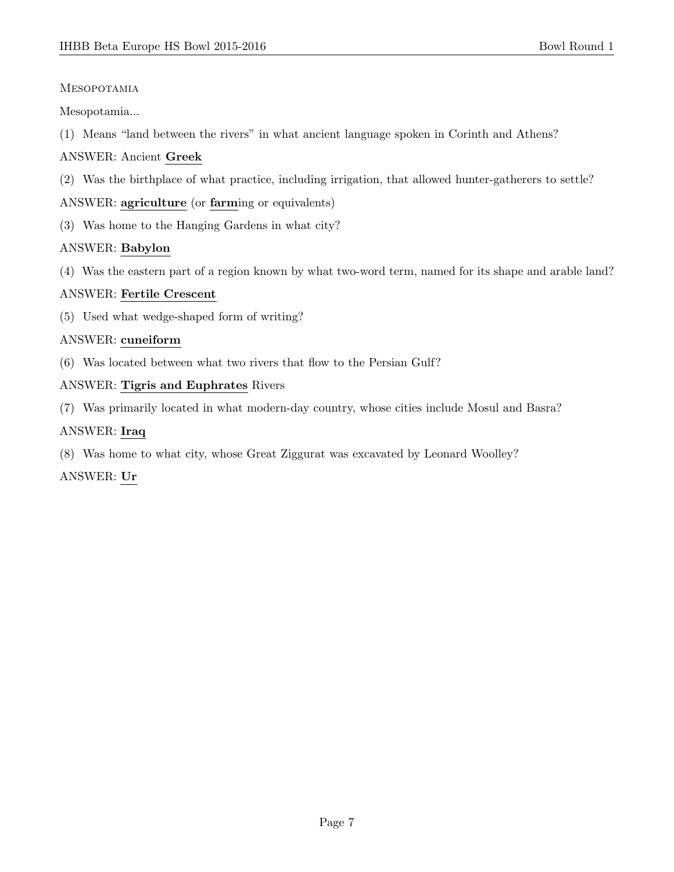## Mesopotamia

Mesopotamia...

(1) Means "land between the rivers" in what ancient language spoken in Corinth and Athens?

# ANSWER: Ancient Greek

(2) Was the birthplace of what practice, including irrigation, that allowed hunter-gatherers to settle?

# ANSWER: agriculture (or farming or equivalents)

(3) Was home to the Hanging Gardens in what city?

# ANSWER: Babylon

(4) Was the eastern part of a region known by what two-word term, named for its shape and arable land?

# ANSWER: Fertile Crescent

(5) Used what wedge-shaped form of writing?

# ANSWER: cuneiform

(6) Was located between what two rivers that flow to the Persian Gulf?

# ANSWER: Tigris and Euphrates Rivers

(7) Was primarily located in what modern-day country, whose cities include Mosul and Basra?

# ANSWER: Iraq

(8) Was home to what city, whose Great Ziggurat was excavated by Leonard Woolley?

# ANSWER: Ur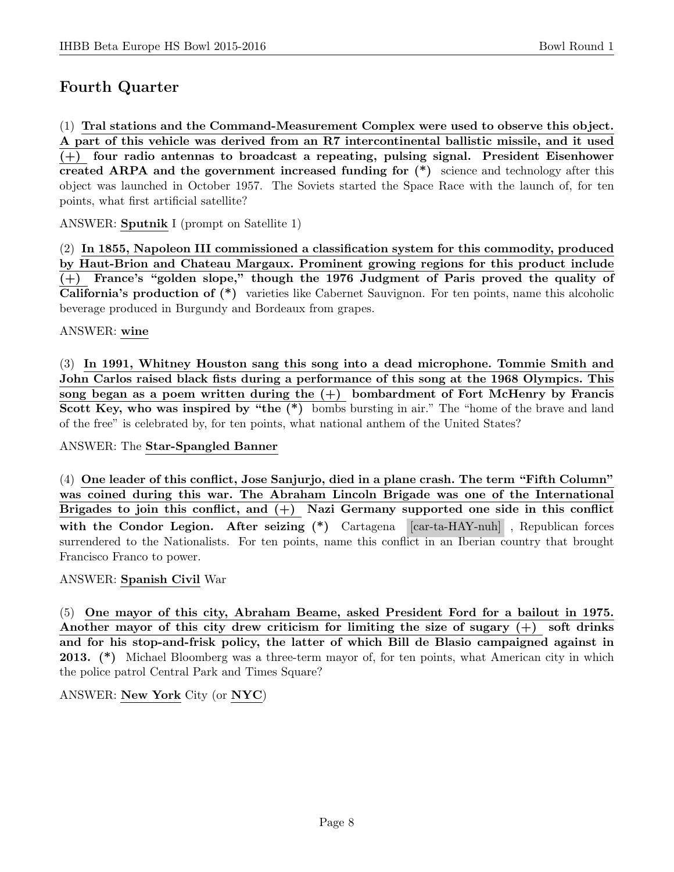# Fourth Quarter

(1) Tral stations and the Command-Measurement Complex were used to observe this object. A part of this vehicle was derived from an R7 intercontinental ballistic missile, and it used (+) four radio antennas to broadcast a repeating, pulsing signal. President Eisenhower created ARPA and the government increased funding for  $(*)$  science and technology after this object was launched in October 1957. The Soviets started the Space Race with the launch of, for ten points, what first artificial satellite?

ANSWER: Sputnik I (prompt on Satellite 1)

(2) In 1855, Napoleon III commissioned a classification system for this commodity, produced by Haut-Brion and Chateau Margaux. Prominent growing regions for this product include (+) France's "golden slope," though the 1976 Judgment of Paris proved the quality of California's production of (\*) varieties like Cabernet Sauvignon. For ten points, name this alcoholic beverage produced in Burgundy and Bordeaux from grapes.

#### ANSWER: wine

(3) In 1991, Whitney Houston sang this song into a dead microphone. Tommie Smith and John Carlos raised black fists during a performance of this song at the 1968 Olympics. This song began as a poem written during the  $(+)$  bombardment of Fort McHenry by Francis Scott Key, who was inspired by "the (\*) bombs bursting in air." The "home of the brave and land of the free" is celebrated by, for ten points, what national anthem of the United States?

#### ANSWER: The Star-Spangled Banner

(4) One leader of this conflict, Jose Sanjurjo, died in a plane crash. The term "Fifth Column" was coined during this war. The Abraham Lincoln Brigade was one of the International Brigades to join this conflict, and  $(+)$  Nazi Germany supported one side in this conflict with the Condor Legion. After seizing (\*) Cartagena [car-ta-HAY-nuh], Republican forces surrendered to the Nationalists. For ten points, name this conflict in an Iberian country that brought Francisco Franco to power.

#### ANSWER: Spanish Civil War

(5) One mayor of this city, Abraham Beame, asked President Ford for a bailout in 1975. Another mayor of this city drew criticism for limiting the size of sugary (+) soft drinks and for his stop-and-frisk policy, the latter of which Bill de Blasio campaigned against in 2013. (\*) Michael Bloomberg was a three-term mayor of, for ten points, what American city in which the police patrol Central Park and Times Square?

ANSWER: New York City (or NYC)